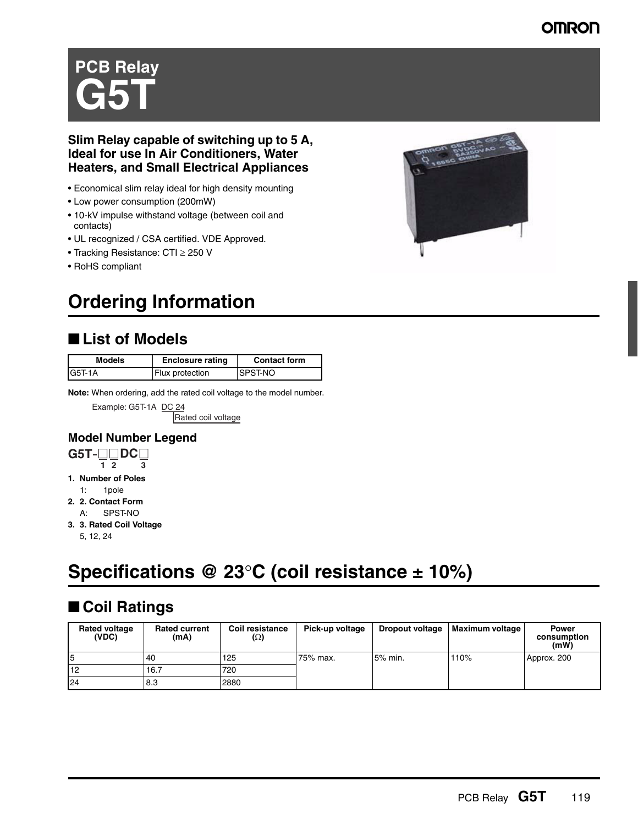### **OMRON**

# **PCB Relay G5T**

### **Slim Relay capable of switching up to 5 A, Ideal for use In Air Conditioners, Water Heaters, and Small Electrical Appliances**

- Economical slim relay ideal for high density mounting
- Low power consumption (200mW)
- 10-kV impulse withstand voltage (between coil and contacts)
- UL recognized / CSA certified. VDE Approved.
- Tracking Resistance: CTI ≥ 250 V
- RoHS compliant

# **Ordering Information**

### ■ List of Models

| Models    | <b>Enclosure rating</b> | <b>Contact form</b> |
|-----------|-------------------------|---------------------|
| $IG5T-1A$ | Flux protection         | ISPST-NO            |

**Note:** When ordering, add the rated coil voltage to the model number.

Example: G5T-1A DC 24 Rated coil voltage

**Model Number Legend** 



- **1. Number of Poles**  1: 1pole
- **2. 2. Contact Form**
- A: SPST-NO
- **3. 3. Rated Coil Voltage** 
	- 5, 12, 24

# **Specifications @ 23**°**C (coil resistance ± 10%)**

# ■ Coil Ratings

| <b>Rated voltage</b><br>(VDC) | <b>Rated current</b><br>(mA) | <b>Coil resistance</b><br>$(\Omega)$ | Pick-up voltage | <b>Dropout voltage</b> | Maximum voltage | <b>Power</b><br>consumption<br>(mW) |
|-------------------------------|------------------------------|--------------------------------------|-----------------|------------------------|-----------------|-------------------------------------|
| I5                            | 40                           | 125                                  | 75% max.        | 5% min.                | 110%            | Approx. 200                         |
| 12                            | 16.7                         | 720                                  |                 |                        |                 |                                     |
| 24                            | 8.3                          | 2880                                 |                 |                        |                 |                                     |

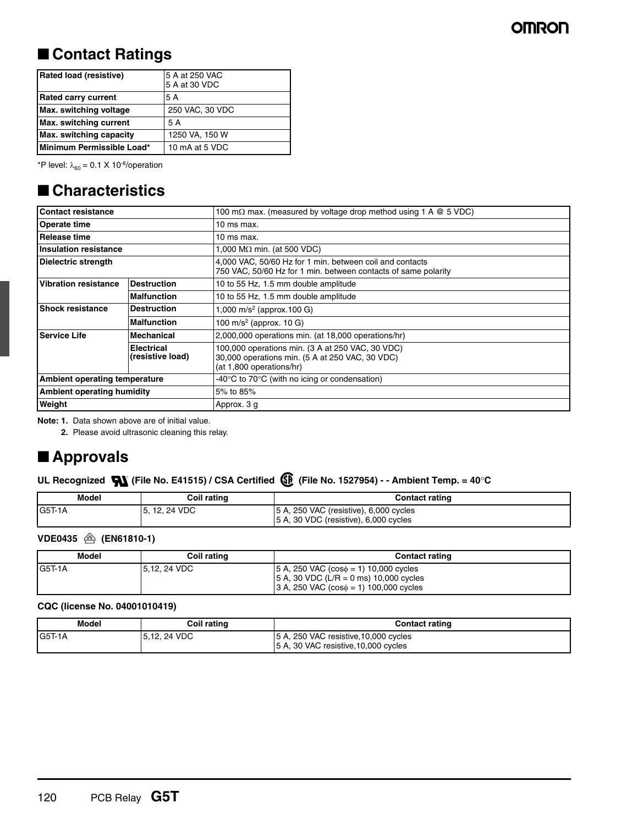### ■ **Contact Ratings**

| <b>Rated load (resistive)</b>     | 5 A at 250 VAC<br>5 A at 30 VDC |
|-----------------------------------|---------------------------------|
| <b>Rated carry current</b>        | 5 A                             |
| Max. switching voltage            | 250 VAC, 30 VDC                 |
| Max. switching current            | 5 A                             |
| <b>Max.</b> switching capacity    | 1250 VA, 150 W                  |
| <b>IMinimum Permissible Load*</b> | 10 mA at 5 VDC                  |

\*P level:  $\lambda_{60} = 0.1 \times 10^{-6}$ /operation

### ■ **Characteristics**

| <b>Contact resistance</b>         |                                       | 100 m $\Omega$ max. (measured by voltage drop method using 1 A $\omega$ 5 VDC)                                                  |
|-----------------------------------|---------------------------------------|---------------------------------------------------------------------------------------------------------------------------------|
| <b>Operate time</b>               |                                       | 10 ms max.                                                                                                                      |
| Release time                      |                                       | 10 ms max.                                                                                                                      |
| <b>Insulation resistance</b>      |                                       | 1,000 M $\Omega$ min. (at 500 VDC)                                                                                              |
| Dielectric strength               |                                       | 4,000 VAC, 50/60 Hz for 1 min. between coil and contacts<br>750 VAC, 50/60 Hz for 1 min. between contacts of same polarity      |
| Vibration resistance              | <b>Destruction</b>                    | 10 to 55 Hz, 1.5 mm double amplitude                                                                                            |
|                                   | <b>Malfunction</b>                    | 10 to 55 Hz, 1.5 mm double amplitude                                                                                            |
| <b>Shock resistance</b>           | <b>Destruction</b>                    | 1,000 m/s <sup>2</sup> (approx.100 G)                                                                                           |
|                                   | <b>Malfunction</b>                    | 100 m/s <sup>2</sup> (approx. 10 G)                                                                                             |
| <b>Service Life</b>               | Mechanical                            | 2,000,000 operations min. (at 18,000 operations/hr)                                                                             |
|                                   | <b>Electrical</b><br>(resistive load) | 100,000 operations min. (3 A at 250 VAC, 30 VDC)<br>30,000 operations min. (5 A at 250 VAC, 30 VDC)<br>(at 1,800 operations/hr) |
| Ambient operating temperature     |                                       | -40 $\degree$ C to 70 $\degree$ C (with no icing or condensation)                                                               |
| <b>Ambient operating humidity</b> |                                       | 5% to 85%                                                                                                                       |
| Weight                            |                                       | Approx. 3 g                                                                                                                     |

**Note: 1.** Data shown above are of initial value.

**2.** Please avoid ultrasonic cleaning this relay.

## ■ **Approvals**

### UL Recognized  $\bullet$  (File No. E41515) / CSA Certified  $\circled{F}$  (File No. 1527954) - - Ambient Temp. = 40°C

| Model  | Coil rating | <b>Contact rating</b>                                                           |
|--------|-------------|---------------------------------------------------------------------------------|
| G5T-1A | 12, 24 VDC  | 5 A, 250 VAC (resistive), 6,000 cycles<br>5 A, 30 VDC (resistive), 6,000 cycles |

### **VDE0435 (EN61810-1)**

| Model   | Coil rating  | <b>Contact rating</b>                                                                                                                                            |
|---------|--------------|------------------------------------------------------------------------------------------------------------------------------------------------------------------|
| IG5T-1A | 5.12, 24 VDC | $ 5 A$ , 250 VAC (cos $\phi = 1$ ) 10,000 cycles<br>$ 5 A$ , 30 VDC (L/R = 0 ms) 10,000 cycles<br>$ 3 A, 250 \text{ VAC} (\cos \phi = 1) 100,000 \text{ cycles}$ |

#### **CQC (license No. 04001010419)**

| Model   | Coil rating  | Contact rating                                                                |
|---------|--------------|-------------------------------------------------------------------------------|
| IG5T-1A | 5.12, 24 VDC | 5 A, 250 VAC resistive, 10,000 cycles<br>5 A, 30 VAC resistive, 10,000 cycles |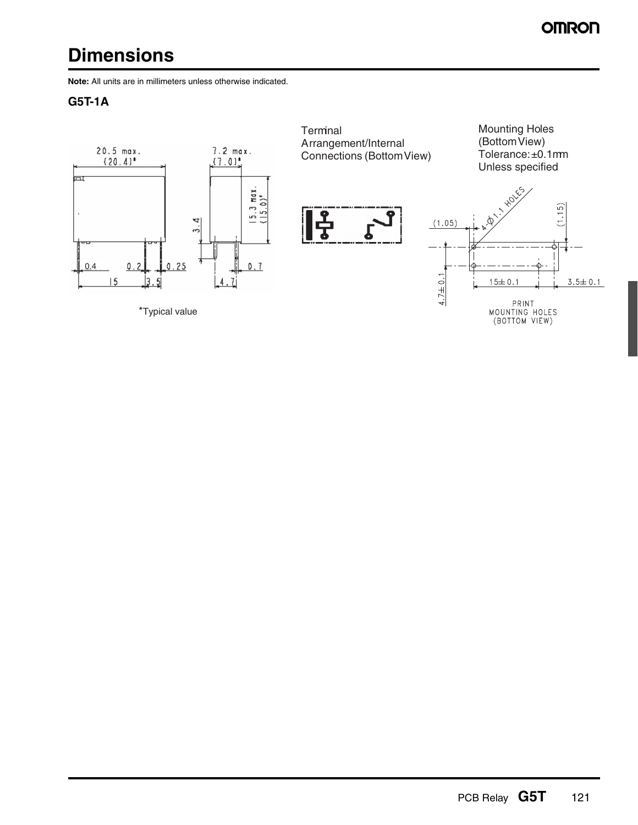# **Dimensions**

**Note:** All units are in millimeters unless otherwise indicated.

### **G5T-1A**

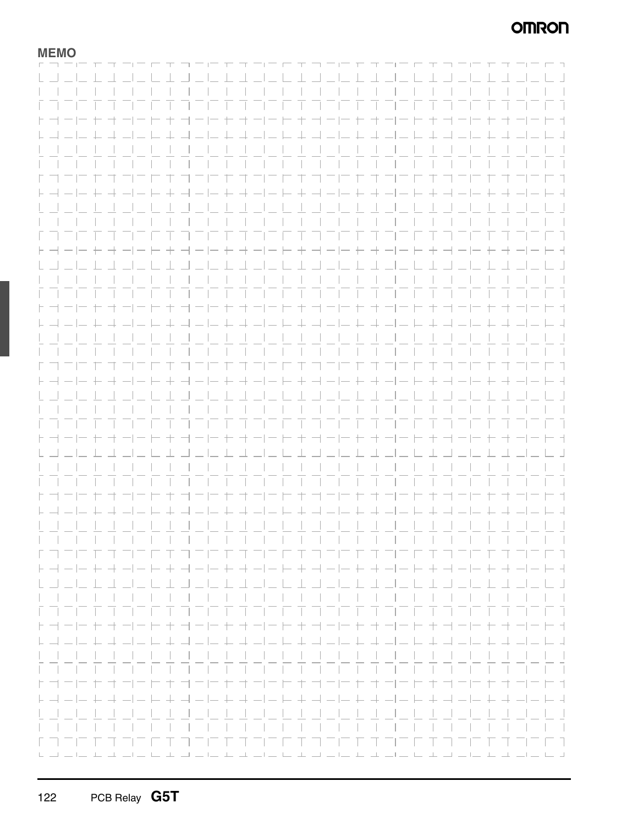### **OMRON**

**MEMO**

|                                                                | ------------------------------------                                                                           |                                                   |                                                            |  |  |                                          |  |  |                            |  |  |  |  |                                                                                                    |
|----------------------------------------------------------------|----------------------------------------------------------------------------------------------------------------|---------------------------------------------------|------------------------------------------------------------|--|--|------------------------------------------|--|--|----------------------------|--|--|--|--|----------------------------------------------------------------------------------------------------|
|                                                                |                                                                                                                |                                                   |                                                            |  |  |                                          |  |  |                            |  |  |  |  |                                                                                                    |
|                                                                |                                                                                                                |                                                   |                                                            |  |  |                                          |  |  |                            |  |  |  |  | $\overline{\phantom{a}}$                                                                           |
|                                                                |                                                                                                                |                                                   | .                                                          |  |  |                                          |  |  |                            |  |  |  |  | $\sim$                                                                                             |
|                                                                |                                                                                                                |                                                   |                                                            |  |  |                                          |  |  |                            |  |  |  |  |                                                                                                    |
|                                                                |                                                                                                                |                                                   |                                                            |  |  |                                          |  |  |                            |  |  |  |  | Ξī                                                                                                 |
|                                                                |                                                                                                                |                                                   |                                                            |  |  |                                          |  |  |                            |  |  |  |  |                                                                                                    |
| トコーヒヤオ                                                         |                                                                                                                |                                                   |                                                            |  |  |                                          |  |  |                            |  |  |  |  | キ ゴーヒ セ オ ーヒ ヒ キ ゴーヒ セ オ ーヒ ヒ キ ゴーヒ キ オ ービ ト オ                                                     |
|                                                                |                                                                                                                |                                                   |                                                            |  |  |                                          |  |  |                            |  |  |  |  |                                                                                                    |
|                                                                | キュコートキョート キュートキョート キュートオコート キュートキョ                                                                             |                                                   |                                                            |  |  |                                          |  |  |                            |  |  |  |  | - 4                                                                                                |
|                                                                |                                                                                                                |                                                   |                                                            |  |  | .                                        |  |  |                            |  |  |  |  | $\mathbf{1}$                                                                                       |
|                                                                |                                                                                                                |                                                   |                                                            |  |  |                                          |  |  |                            |  |  |  |  |                                                                                                    |
|                                                                |                                                                                                                |                                                   |                                                            |  |  | .                                        |  |  |                            |  |  |  |  | and the state                                                                                      |
|                                                                |                                                                                                                |                                                   |                                                            |  |  |                                          |  |  |                            |  |  |  |  |                                                                                                    |
|                                                                |                                                                                                                |                                                   |                                                            |  |  | 1 フレ た オ コ ニ に キ コ ニ に た オ コ ニ に キ コ ニ   |  |  |                            |  |  |  |  | F 1.                                                                                               |
|                                                                |                                                                                                                |                                                   |                                                            |  |  |                                          |  |  |                            |  |  |  |  |                                                                                                    |
|                                                                | ト ┥ ━ │━ ┾ ┽ ━│━ ┾ ┼ ┥ ━ │━ ┾ ┽ ━│━ ┾ ┼ ┥ ━│━ ┾ ┽ ━│━ ┾ ┼ ┥ ━│━ ┾ ┤ ━│━ ┾ ┽ ━│━ ┝ ┤                            |                                                   |                                                            |  |  |                                          |  |  |                            |  |  |  |  |                                                                                                    |
|                                                                |                                                                                                                |                                                   |                                                            |  |  |                                          |  |  |                            |  |  |  |  |                                                                                                    |
|                                                                |                                                                                                                |                                                   |                                                            |  |  |                                          |  |  |                            |  |  |  |  |                                                                                                    |
|                                                                |                                                                                                                |                                                   |                                                            |  |  |                                          |  |  |                            |  |  |  |  |                                                                                                    |
|                                                                |                                                                                                                |                                                   |                                                            |  |  |                                          |  |  |                            |  |  |  |  |                                                                                                    |
|                                                                |                                                                                                                |                                                   |                                                            |  |  | <u> E FIFIEI E FIFIEI E FIFIEI E </u>    |  |  |                            |  |  |  |  | - 1                                                                                                |
|                                                                |                                                                                                                |                                                   |                                                            |  |  |                                          |  |  |                            |  |  |  |  |                                                                                                    |
|                                                                |                                                                                                                | ㅋㅋ 누 キ ㅋ ㅋ ㅡ ㅜ ㅜ ㅋ ㅡ ㅜ ㅜ ㅋ ㅡ ㅡ ㅜ ㅜ ㅡ ㅡ ㅜ ㅜ ㅋ ㅡ !ㅡ |                                                            |  |  |                                          |  |  |                            |  |  |  |  | $    -$                                                                                            |
|                                                                |                                                                                                                |                                                   |                                                            |  |  | .                                        |  |  |                            |  |  |  |  |                                                                                                    |
|                                                                |                                                                                                                |                                                   |                                                            |  |  |                                          |  |  |                            |  |  |  |  |                                                                                                    |
|                                                                |                                                                                                                |                                                   |                                                            |  |  |                                          |  |  |                            |  |  |  |  | $\mathcal{A}$                                                                                      |
|                                                                |                                                                                                                |                                                   |                                                            |  |  |                                          |  |  |                            |  |  |  |  |                                                                                                    |
|                                                                |                                                                                                                |                                                   |                                                            |  |  |                                          |  |  |                            |  |  |  |  | and the state                                                                                      |
| ヒコニヒ                                                           |                                                                                                                |                                                   | 卞                                                          |  |  | オーヒヤオーヒヒオ オーヒセオーヒヒキ オーヒ                  |  |  |                            |  |  |  |  | - 1                                                                                                |
|                                                                |                                                                                                                |                                                   |                                                            |  |  |                                          |  |  |                            |  |  |  |  |                                                                                                    |
| $\vdash \rightrightarrows \rightrightarrows \rightrightarrows$ |                                                                                                                |                                                   |                                                            |  |  |                                          |  |  |                            |  |  |  |  | $-1$                                                                                               |
|                                                                |                                                                                                                |                                                   |                                                            |  |  |                                          |  |  |                            |  |  |  |  |                                                                                                    |
|                                                                |                                                                                                                |                                                   |                                                            |  |  |                                          |  |  |                            |  |  |  |  |                                                                                                    |
|                                                                |                                                                                                                |                                                   |                                                            |  |  |                                          |  |  |                            |  |  |  |  |                                                                                                    |
|                                                                |                                                                                                                |                                                   |                                                            |  |  | .                                        |  |  |                            |  |  |  |  | and the contract of the                                                                            |
|                                                                |                                                                                                                |                                                   |                                                            |  |  | 1 ファ ト ゴ ファ ト エ コ ファ ト ゴ フ ニ ト ナ コ フ ニ ト |  |  |                            |  |  |  |  | E T                                                                                                |
|                                                                |                                                                                                                |                                                   |                                                            |  |  |                                          |  |  |                            |  |  |  |  |                                                                                                    |
|                                                                | ト ┥ ―│― ┾ ┽ ―│― ├- ┼ ┥ ―│― ┼ ┽ ―│― ├- ┼ ┥ ―│― ┼ ┽ ―│― ├- ┼ ┥ ―│― ┼ ┽ ―│― ├- ┤                                  |                                                   |                                                            |  |  |                                          |  |  |                            |  |  |  |  |                                                                                                    |
|                                                                |                                                                                                                |                                                   |                                                            |  |  |                                          |  |  |                            |  |  |  |  |                                                                                                    |
|                                                                |                                                                                                                |                                                   |                                                            |  |  |                                          |  |  |                            |  |  |  |  |                                                                                                    |
|                                                                |                                                                                                                |                                                   |                                                            |  |  |                                          |  |  |                            |  |  |  |  |                                                                                                    |
|                                                                |                                                                                                                |                                                   |                                                            |  |  |                                          |  |  |                            |  |  |  |  |                                                                                                    |
|                                                                |                                                                                                                |                                                   |                                                            |  |  |                                          |  |  |                            |  |  |  |  |                                                                                                    |
|                                                                |                                                                                                                |                                                   |                                                            |  |  |                                          |  |  |                            |  |  |  |  |                                                                                                    |
|                                                                |                                                                                                                |                                                   |                                                            |  |  | .                                        |  |  |                            |  |  |  |  | T T                                                                                                |
|                                                                |                                                                                                                |                                                   | + - - - + + - - + + - - - + + - - + + - +                  |  |  |                                          |  |  |                            |  |  |  |  | コートュ                                                                                               |
|                                                                |                                                                                                                |                                                   |                                                            |  |  |                                          |  |  |                            |  |  |  |  |                                                                                                    |
|                                                                |                                                                                                                |                                                   | لدانا بالمالد بلا بدانيا بالمالد بلا بيانيا بيانيا بالداري |  |  |                                          |  |  |                            |  |  |  |  | $-1$ $-1$                                                                                          |
|                                                                |                                                                                                                |                                                   |                                                            |  |  |                                          |  |  |                            |  |  |  |  |                                                                                                    |
|                                                                |                                                                                                                |                                                   |                                                            |  |  |                                          |  |  |                            |  |  |  |  | $\mathbf{1}$                                                                                       |
|                                                                |                                                                                                                |                                                   |                                                            |  |  |                                          |  |  |                            |  |  |  |  |                                                                                                    |
|                                                                |                                                                                                                |                                                   |                                                            |  |  |                                          |  |  |                            |  |  |  |  |                                                                                                    |
|                                                                |                                                                                                                |                                                   | T.                                                         |  |  | コーヒキ ナーヒト キヨーヒキ オーヒヒキヨーヒ                 |  |  |                            |  |  |  |  | - 1                                                                                                |
|                                                                |                                                                                                                |                                                   |                                                            |  |  |                                          |  |  |                            |  |  |  |  |                                                                                                    |
|                                                                | ┣-┥╼╟╸╄╌╃╼╿╾┝╸╋╶┩╼╟╾╊╌╃╼╢╾┝╴╇╶┩╼╟╾╊╌╃╼╢╾┝╴╋╶╢╼┞╾╄╌┩╼╿╾┝╸┩                                                      |                                                   |                                                            |  |  |                                          |  |  |                            |  |  |  |  |                                                                                                    |
|                                                                |                                                                                                                |                                                   |                                                            |  |  |                                          |  |  |                            |  |  |  |  |                                                                                                    |
|                                                                | U dia Citat de Citat de Liberal de Citat de Liberal de Citat de Citat de Citat de Citat de Citat de Citat de C |                                                   |                                                            |  |  |                                          |  |  |                            |  |  |  |  |                                                                                                    |
|                                                                |                                                                                                                |                                                   |                                                            |  |  |                                          |  |  |                            |  |  |  |  | $\mathbb{R}$                                                                                       |
|                                                                |                                                                                                                |                                                   |                                                            |  |  |                                          |  |  |                            |  |  |  |  |                                                                                                    |
|                                                                |                                                                                                                |                                                   |                                                            |  |  |                                          |  |  |                            |  |  |  |  | $\Box$                                                                                             |
|                                                                |                                                                                                                |                                                   |                                                            |  |  |                                          |  |  |                            |  |  |  |  |                                                                                                    |
|                                                                |                                                                                                                |                                                   | $\pm$                                                      |  |  |                                          |  |  |                            |  |  |  |  | - -                                                                                                |
|                                                                |                                                                                                                |                                                   |                                                            |  |  |                                          |  |  |                            |  |  |  |  |                                                                                                    |
|                                                                |                                                                                                                |                                                   |                                                            |  |  |                                          |  |  |                            |  |  |  |  |                                                                                                    |
|                                                                |                                                                                                                |                                                   |                                                            |  |  |                                          |  |  |                            |  |  |  |  |                                                                                                    |
|                                                                |                                                                                                                |                                                   |                                                            |  |  |                                          |  |  |                            |  |  |  |  |                                                                                                    |
|                                                                |                                                                                                                |                                                   |                                                            |  |  | ורה דחרה החרה החרה                       |  |  |                            |  |  |  |  | T T                                                                                                |
|                                                                |                                                                                                                |                                                   |                                                            |  |  |                                          |  |  |                            |  |  |  |  |                                                                                                    |
| $H \rightarrow -1$                                             |                                                                                                                |                                                   |                                                            |  |  | コートキョーートォ                                |  |  |                            |  |  |  |  | - 1                                                                                                |
|                                                                |                                                                                                                |                                                   |                                                            |  |  |                                          |  |  |                            |  |  |  |  |                                                                                                    |
|                                                                |                                                                                                                |                                                   |                                                            |  |  |                                          |  |  |                            |  |  |  |  |                                                                                                    |
|                                                                |                                                                                                                |                                                   |                                                            |  |  |                                          |  |  |                            |  |  |  |  | .                                                                                                  |
|                                                                |                                                                                                                |                                                   |                                                            |  |  |                                          |  |  |                            |  |  |  |  |                                                                                                    |
| .                                                              |                                                                                                                |                                                   |                                                            |  |  | .                                        |  |  |                            |  |  |  |  |                                                                                                    |
|                                                                |                                                                                                                |                                                   |                                                            |  |  |                                          |  |  |                            |  |  |  |  |                                                                                                    |
|                                                                |                                                                                                                |                                                   |                                                            |  |  | カオコニヒキコニヒ わ                              |  |  | and the state of the state |  |  |  |  | - 1                                                                                                |
|                                                                |                                                                                                                |                                                   |                                                            |  |  |                                          |  |  |                            |  |  |  |  |                                                                                                    |
| $\vdash \dashv - \vdash$                                       |                                                                                                                |                                                   |                                                            |  |  |                                          |  |  |                            |  |  |  |  |                                                                                                    |
|                                                                |                                                                                                                |                                                   |                                                            |  |  |                                          |  |  |                            |  |  |  |  |                                                                                                    |
|                                                                |                                                                                                                |                                                   |                                                            |  |  |                                          |  |  |                            |  |  |  |  |                                                                                                    |
|                                                                |                                                                                                                |                                                   |                                                            |  |  |                                          |  |  |                            |  |  |  |  |                                                                                                    |
|                                                                |                                                                                                                |                                                   |                                                            |  |  |                                          |  |  |                            |  |  |  |  |                                                                                                    |
|                                                                | كالمسابط كالمساكر كالربا                                                                                       |                                                   |                                                            |  |  |                                          |  |  |                            |  |  |  |  | 77.<br>الرابط بندانية للمراكب المرابط بنا بندانية للمراكب لتربط بنا بندانية للرابط بندانية المرابط |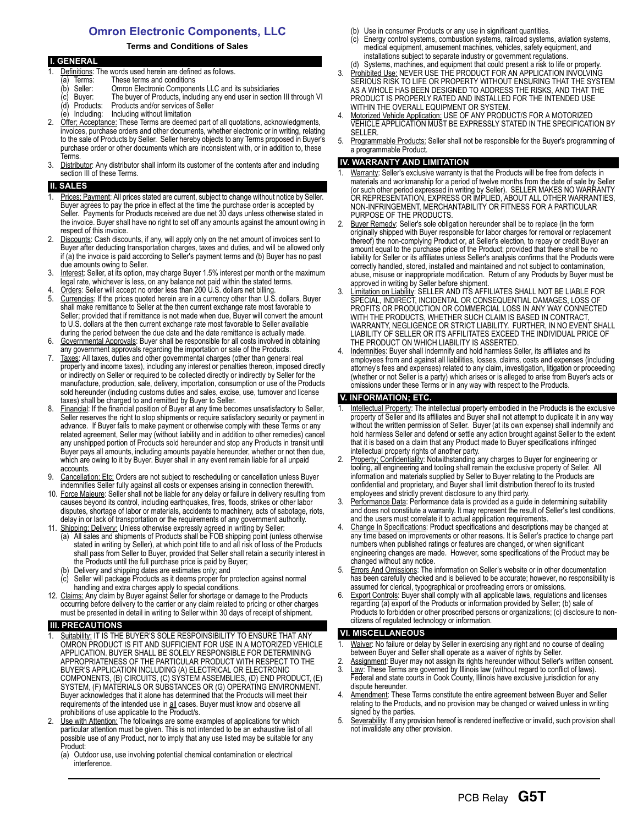### **Omron Electronic Components, LLC**

#### **Terms and Conditions of Sales**

|    | <b>I. GENERAL</b>                                                                         |
|----|-------------------------------------------------------------------------------------------|
|    | Definitions: The words used herein are defined as follows.                                |
|    | These terms and conditions<br>Terms:<br>a)                                                |
|    | Omron Electronic Components LLC and its subsidiaries<br>Seller:<br>(b                     |
|    | The buyer of Products, including any end user in section III through VI<br>(c) Buyer:     |
|    | Products and/or services of Seller<br>(d) Products:                                       |
|    | (e) Including: Including without limitation                                               |
| 2. | Offer: Acceptance: These Terms are deemed part of all quotations, acknowledgments,        |
|    | invoices, purchase orders and other documents, whether electronic or in writing, relating |
|    | to the sale of Products by Seller. Seller hereby objects to any Terms proposed in Buyer's |
|    | purchase order or other documents which are inconsistent with, or in addition to, these   |
|    | Terms.                                                                                    |

3. Distributor: Any distributor shall inform its customer of the contents after and including section III of these Terms.

#### **SALES**

- Prices: Payment: All prices stated are current, subject to change without notice by Seller. Buyer agrees to pay the price in effect at the time the purchase order is accepted by Seller. Payments for Products received are due net 30 days unless otherwise stated in the invoice. Buyer shall have no right to set off any amounts against the amount owing in respect of this invoice.
- Discounts: Cash discounts, if any, will apply only on the net amount of invoices sent to Buyer after deducting transportation charges, taxes and duties, and will be allowed only if (a) the invoice is paid according to Seller's payment terms and (b) Buyer has no past due amounts owing to Seller.
- 3. Interest: Seller, at its option, may charge Buyer 1.5% interest per month or the maximum legal rate, whichever is less, on any balance not paid within the stated terms.
- 4. Orders: Seller will accept no order less than 200 U.S. dollars net billing.<br>5. Currencies: If the prices quoted herein are in a currency other than U.S. Currencies: If the prices quoted herein are in a currency other than U.S. dollars, Buyer shall make remittance to Seller at the then current exchange rate most favorable to Seller; provided that if remittance is not made when due, Buyer will convert the amount to U.S. dollars at the then current exchange rate most favorable to Seller available during the period between the due date and the date remittance is actually made.
- 6. Governmental Approvals: Buyer shall be responsible for all costs involved in obtaining any government approvals regarding the importation or sale of the Products.
- 7. Taxes: All taxes, duties and other governmental charges (other than general real property and income taxes), including any interest or penalties thereon, imposed directly or indirectly on Seller or required to be collected directly or indirectly by Seller for the manufacture, production, sale, delivery, importation, consumption or use of the Products sold hereunder (including customs duties and sales, excise, use, turnover and license taxes) shall be charged to and remitted by Buyer to Seller.
- 8. Financial: If the financial position of Buyer at any time becomes unsatisfactory to Seller, Seller reserves the right to stop shipments or require satisfactory security or payment in advance. If Buyer fails to make payment or otherwise comply with these Terms or any related agreement, Seller may (without liability and in addition to other remedies) cancel any unshipped portion of Products sold hereunder and stop any Products in transit until Buyer pays all amounts, including amounts payable hereunder, whether or not then due, which are owing to it by Buyer. Buyer shall in any event remain liable for all unpaid accounts.
- 9. Cancellation; Etc: Orders are not subject to rescheduling or cancellation unless Buyer indemnifies Seller fully against all costs or expenses arising in connection therewith.
- 10. Force Majeure: Seller shall not be liable for any delay or failure in delivery resulting from causes beyond its control, including earthquakes, fires, floods, strikes or other labor disputes, shortage of labor or materials, accidents to machinery, acts of sabotage, riots, delay in or lack of transportation or the requirements of any government authority.
- 11. Shipping; Delivery: Unless otherwise expressly agreed in writing by Seller:
	- (a) All sales and shipments of Products shall be FOB shipping point (unless otherwise stated in writing by Seller), at which point title to and all risk of loss of the Products shall pass from Seller to Buyer, provided that Seller shall retain a security interest in the Products until the full purchase price is paid by Buyer;
	- Delivery and shipping dates are estimates only; and
	- Seller will package Products as it deems proper for protection against normal handling and extra charges apply to special conditions.
- 12. Claims: Any claim by Buyer against Seller for shortage or damage to the Products occurring before delivery to the carrier or any claim related to pricing or other charges must be presented in detail in writing to Seller within 30 days of receipt of shipment.

#### **III. PRECAUTIONS**

- Suitability: IT IS THE BUYER'S SOLE RESPOINSIBILITY TO ENSURE THAT ANY OMRON PRODUCT IS FIT AND SUFFICIENT FOR USE IN A MOTORIZED VEHICLE APPLICATION. BUYER SHALL BE SOLELY RESPONSIBLE FOR DETERMINING APPROPRIATENESS OF THE PARTICULAR PRODUCT WITH RESPECT TO THE BUYER'S APPLICATION INCLUDING (A) ELECTRICAL OR ELECTRONIC COMPONENTS, (B) CIRCUITS, (C) SYSTEM ASSEMBLIES, (D) END PRODUCT, (E) SYSTEM, (F) MATERIALS OR SUBSTANCES OR (G) OPERATING ENVIRONMENT. Buyer acknowledges that it alone has determined that the Products will meet their requirements of the intended use in all cases. Buyer must know and observe all prohibitions of use applicable to the Product/s.
- 2. Use with Attention: The followings are some examples of applications for which particular attention must be given. This is not intended to be an exhaustive list of all possible use of any Product, nor to imply that any use listed may be suitable for any Product:
	- (a) Outdoor use, use involving potential chemical contamination or electrical interference.
- (b) Use in consumer Products or any use in significant quantities.
- (c) Energy control systems, combustion systems, railroad systems, aviation systems, medical equipment, amusement machines, vehicles, safety equipment, and installations subject to separate industry or government regulations. (d) Systems, machines, and equipment that could present a risk to life or property.
- 3. Prohibited Use: NEVER USE THE PRODUCT FOR AN APPLICATION INVOLVING SERIOUS RISK TO LIFE OR PROPERTY WITHOUT ENSURING THAT THE SYSTEM AS A WHOLE HAS BEEN DESIGNED TO ADDRESS THE RISKS, AND THAT THE PRODUCT IS PROPERLY RATED AND INSTALLED FOR THE INTENDED USE WITHIN THE OVERALL EQUIPMENT OR SYSTEM.
- 4. Motorized Vehicle Application: USE OF ANY PRODUCT/S FOR A MOTORIZED VEHICLE APPLICATION MUST BE EXPRESSLY STATED IN THE SPECIFICATION BY SELLER.
- 5. Programmable Products: Seller shall not be responsible for the Buyer's programming of a programmable Product.

#### **IV. WARRANTY AND LIMITATION**

- Warranty: Seller's exclusive warranty is that the Products will be free from defects in materials and workmanship for a period of twelve months from the date of sale by Seller (or such other period expressed in writing by Seller). SELLER MAKES NO WARRANTY OR REPRESENTATION, EXPRESS OR IMPLIED, ABOUT ALL OTHER WARRANTIES, NON-INFRINGEMENT, MERCHANTABILITY OR FITNESS FOR A PARTICULAR PURPOSE OF THE PRODUCTS.
- 2. Buyer Remedy: Seller's sole obligation hereunder shall be to replace (in the form originally shipped with Buyer responsible for labor charges for removal or replacement thereof) the non-complying Product or, at Seller's election, to repay or credit Buyer an amount equal to the purchase price of the Product; provided that there shall be no liability for Seller or its affiliates unless Seller's analysis confirms that the Products were correctly handled, stored, installed and maintained and not subject to contamination, abuse, misuse or inappropriate modification. Return of any Products by Buyer must be approved in writing by Seller before shipment.
- 3. Limitation on Liability: SELLER AND ITS AFFILIATES SHALL NOT BE LIABLE FOR SPECIAL, INDIRECT, INCIDENTAL OR CONSEQUENTIAL DAMAGES, LOSS OF PROFITS OR PRODUCTION OR COMMERCIAL LOSS IN ANY WAY CONNECTED WITH THE PRODUCTS, WHETHER SUCH CLAIM IS BASED IN CONTRACT, WARRANTY, NEGLIGENCE OR STRICT LIABILITY. FURTHER, IN NO EVENT SHALL LIABILITY OF SELLER OR ITS AFFILITATES EXCEED THE INDIVIDUAL PRICE OF THE PRODUCT ON WHICH LIABILITY IS ASSERTED.
- Indemnities: Buyer shall indemnify and hold harmless Seller, its affiliates and its employees from and against all liabilities, losses, claims, costs and expenses (including attorney's fees and expenses) related to any claim, investigation, litigation or proceeding (whether or not Seller is a party) which arises or is alleged to arise from Buyer's acts or omissions under these Terms or in any way with respect to the Products.

#### **V. INFORMATION; ETC.**

- 1. Intellectual Property: The intellectual property embodied in the Products is the exclusive property of Seller and its affiliates and Buyer shall not attempt to duplicate it in any way without the written permission of Seller. Buyer (at its own expense) shall indemnify and hold harmless Seller and defend or settle any action brought against Seller to the extent that it is based on a claim that any Product made to Buyer specifications infringed intellectual property rights of another party.
- Property: Confidentiality: Notwithstanding any charges to Buyer for engineering or tooling, all engineering and tooling shall remain the exclusive property of Seller. All information and materials supplied by Seller to Buyer relating to the Products are confidential and proprietary, and Buyer shall limit distribution thereof to its trusted employees and strictly prevent disclosure to any third party.
- 3. Performance Data: Performance data is provided as a guide in determining suitability and does not constitute a warranty. It may represent the result of Seller's test conditions, and the users must correlate it to actual application requirements.
- Change In Specifications: Product specifications and descriptions may be changed at any time based on improvements or other reasons. It is Seller's practice to change part numbers when published ratings or features are changed, or when significant engineering changes are made. However, some specifications of the Product may be changed without any notice.
- 5. Errors And Omissions: The information on Seller's website or in other documentation has been carefully checked and is believed to be accurate; however, no responsibility is assumed for clerical, typographical or proofreading errors or omissions.
- 6. Export Controls: Buyer shall comply with all applicable laws, regulations and licenses regarding (a) export of the Products or information provided by Seller; (b) sale of Products to forbidden or other proscribed persons or organizations; (c) disclosure to noncitizens of regulated technology or information.

#### **VI. MISCELLANEOUS**

- Waiver: No failure or delay by Seller in exercising any right and no course of dealing between Buyer and Seller shall operate as a waiver of rights by Seller.
- 2. Assignment: Buyer may not assign its rights hereunder without Seller's written consent. 3. Law: These Terms are governed by Illinois law (without regard to conflict of laws).
- Federal and state courts in Cook County, Illinois have exclusive jurisdiction for any dispute hereunder. 4. Amendment: These Terms constitute the entire agreement between Buyer and Seller
- relating to the Products, and no provision may be changed or waived unless in writing signed by the parties.
- 5. Severability: If any provision hereof is rendered ineffective or invalid, such provision shall not invalidate any other provision.